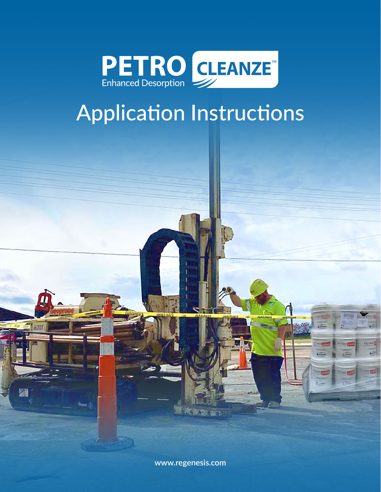

# Application Instructions

**[www.regenesis.com](https://regenesis.com/eur/)**

頨

ا: ==نا

PETRO

**ETRO**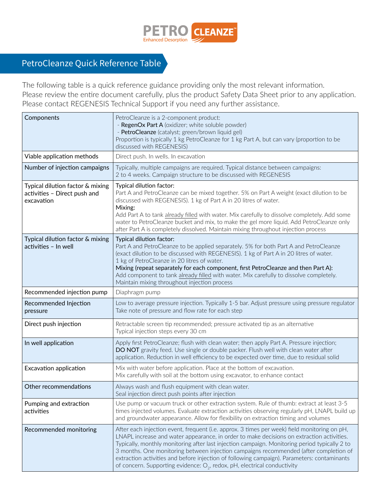

## PetroCleanze Quick Reference Table

The following table is a quick reference guidance providing only the most relevant information. Please review the entire document carefully, plus the product Safety Data Sheet prior to any application. Please contact REGENESIS Technical Support if you need any further assistance.

| Components                                                                     | PetroCleanze is a 2-component product:<br>- RegenOx Part A (oxidizer; white soluble powder)<br>- PetroCleanze (catalyst; green/brown liquid gel)<br>Proportion is typically 1 kg PetroCleanze for 1 kg Part A, but can vary (proportion to be<br>discussed with REGENESIS)                                                                                                                                                                                                                                                                                        |  |  |  |
|--------------------------------------------------------------------------------|-------------------------------------------------------------------------------------------------------------------------------------------------------------------------------------------------------------------------------------------------------------------------------------------------------------------------------------------------------------------------------------------------------------------------------------------------------------------------------------------------------------------------------------------------------------------|--|--|--|
| Viable application methods                                                     | Direct push. In wells. In excavation                                                                                                                                                                                                                                                                                                                                                                                                                                                                                                                              |  |  |  |
| Number of injection campaigns                                                  | Typically, multiple campaigns are required. Typical distance between campaigns:<br>2 to 4 weeks. Campaign structure to be discussed with REGENESIS                                                                                                                                                                                                                                                                                                                                                                                                                |  |  |  |
| Typical dilution factor & mixing<br>activities - Direct push and<br>excavation | Typical dilution factor:<br>Part A and PetroCleanze can be mixed together. 5% on Part A weight (exact dilution to be<br>discussed with REGENESIS). 1 kg of Part A in 20 litres of water.<br>Mixing:<br>Add Part A to tank already filled with water. Mix carefully to dissolve completely. Add some<br>water to PetroCleanze bucket and mix, to make the gel more liquid. Add PetroCleanze only<br>after Part A is completely dissolved. Maintain mixing throughout injection process                                                                             |  |  |  |
| Typical dilution factor & mixing<br>activities - In well                       | Typical dilution factor:<br>Part A and PetroCleanze to be applied separately. 5% for both Part A and PetroCleanze<br>(exact dilution to be discussed with REGENESIS). 1 kg of Part A in 20 litres of water.<br>1 kg of PetroCleanze in 20 litres of water.<br>Mixing (repeat separately for each component, first PetroCleanze and then Part A):<br>Add component to tank already filled with water. Mix carefully to dissolve completely.<br>Maintain mixing throughout injection process                                                                        |  |  |  |
| Recommended injection pump                                                     | Diaphragm pump                                                                                                                                                                                                                                                                                                                                                                                                                                                                                                                                                    |  |  |  |
| Recommended Injection<br>pressure                                              | Low to average pressure injection. Typically 1-5 bar. Adjust pressure using pressure regulator<br>Take note of pressure and flow rate for each step                                                                                                                                                                                                                                                                                                                                                                                                               |  |  |  |
| Direct push injection                                                          | Retractable screen tip recommended; pressure activated tip as an alternative<br>Typical injection steps every 30 cm                                                                                                                                                                                                                                                                                                                                                                                                                                               |  |  |  |
| In well application                                                            | Apply first PetroCleanze; flush with clean water; then apply Part A. Pressure injection;<br>DO NOT gravity feed. Use single or double packer. Flush well with clean water after<br>application. Reduction in well efficiency to be expected over time, due to residual solid                                                                                                                                                                                                                                                                                      |  |  |  |
| Excavation application                                                         | Mix with water before application. Place at the bottom of excavation.<br>Mix carefully with soil at the bottom using excavator, to enhance contact                                                                                                                                                                                                                                                                                                                                                                                                                |  |  |  |
| Other recommendations                                                          | Always wash and flush equipment with clean water.<br>Seal injection direct push points after injection                                                                                                                                                                                                                                                                                                                                                                                                                                                            |  |  |  |
| Pumping and extraction<br>activities                                           | Use pump or vacuum truck or other extraction system. Rule of thumb: extract at least 3-5<br>times injected volumes. Evaluate extraction activities observing regularly pH, LNAPL build up<br>and groundwater appearance. Allow for flexibility on extraction timing and volumes                                                                                                                                                                                                                                                                                   |  |  |  |
| Recommended monitoring                                                         | After each injection event, frequent (i.e. approx. 3 times per week) field monitoring on pH,<br>LNAPL increase and water appearance, in order to make decisions on extraction activities.<br>Typically, monthly monitoring after last injection campaign. Monitoring period typically 2 to<br>3 months. One monitoring between injection campaigns recommended (after completion of<br>extraction activities and before injection of following campaign). Parameters: contaminants<br>of concern. Supporting evidence: $O_2$ , redox, pH, electrical conductivity |  |  |  |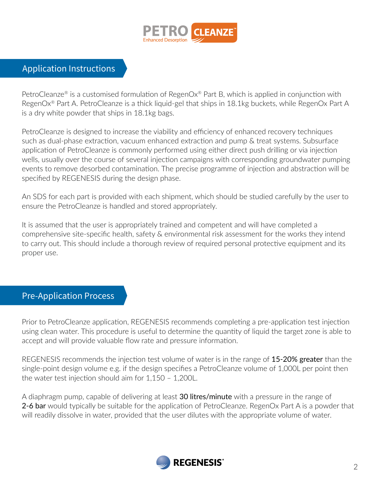

#### Application Instructions

PetroCleanze<sup>®</sup> is a customised formulation of RegenOx<sup>®</sup> Part B, which is applied in conjunction with RegenOx® Part A. PetroCleanze is a thick liquid-gel that ships in 18.1kg buckets, while RegenOx Part A is a dry white powder that ships in 18.1kg bags.

PetroCleanze is designed to increase the viability and efficiency of enhanced recovery techniques such as dual-phase extraction, vacuum enhanced extraction and pump & treat systems. Subsurface application of PetroCleanze is commonly performed using either direct push drilling or via injection wells, usually over the course of several injection campaigns with corresponding groundwater pumping events to remove desorbed contamination. The precise programme of injection and abstraction will be specified by REGENESIS during the design phase.

An SDS for each part is provided with each shipment, which should be studied carefully by the user to ensure the PetroCleanze is handled and stored appropriately.

It is assumed that the user is appropriately trained and competent and will have completed a comprehensive site-specific health, safety & environmental risk assessment for the works they intend to carry out. This should include a thorough review of required personal protective equipment and its proper use.

#### Pre-Application Process

Prior to PetroCleanze application, REGENESIS recommends completing a pre-application test injection using clean water. This procedure is useful to determine the quantity of liquid the target zone is able to accept and will provide valuable flow rate and pressure information.

REGENESIS recommends the injection test volume of water is in the range of 15-20% greater than the single-point design volume e.g. if the design specifies a PetroCleanze volume of 1,000L per point then the water test injection should aim for 1,150 – 1,200L.

A diaphragm pump, capable of delivering at least 30 litres/minute with a pressure in the range of 2-6 bar would typically be suitable for the application of PetroCleanze. RegenOx Part A is a powder that will readily dissolve in water, provided that the user dilutes with the appropriate volume of water.

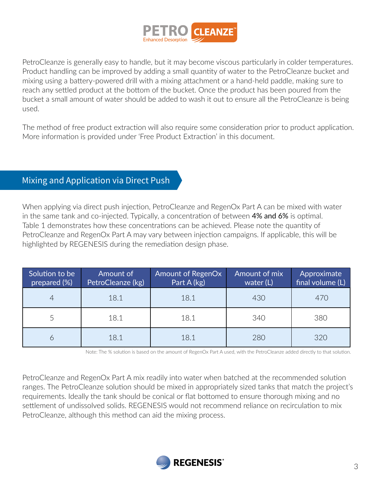

PetroCleanze is generally easy to handle, but it may become viscous particularly in colder temperatures. Product handling can be improved by adding a small quantity of water to the PetroCleanze bucket and mixing using a battery-powered drill with a mixing attachment or a hand-held paddle, making sure to reach any settled product at the bottom of the bucket. Once the product has been poured from the bucket a small amount of water should be added to wash it out to ensure all the PetroCleanze is being used.

The method of free product extraction will also require some consideration prior to product application. More information is provided under 'Free Product Extraction' in this document.

### Mixing and Application via Direct Push

When applying via direct push injection, PetroCleanze and RegenOx Part A can be mixed with water in the same tank and co-injected. Typically, a concentration of between 4% and 6% is optimal. Table 1 demonstrates how these concentrations can be achieved. Please note the quantity of PetroCleanze and RegenOx Part A may vary between injection campaigns. If applicable, this will be highlighted by REGENESIS during the remediation design phase.

| Solution to be<br>prepared (%) | Amount of<br>PetroCleanze (kg) | Amount of RegenOx<br>Part A (kg) | Amount of mix<br>water $(L)$ | Approximate<br>final volume (L) |
|--------------------------------|--------------------------------|----------------------------------|------------------------------|---------------------------------|
| 4                              | 18.1                           | 18.1                             | 430                          | 470                             |
|                                | 18.1                           | 18.1                             | 340                          | 380                             |
| 6                              | 18.1                           | 18.1                             | 280                          | 320                             |

Note: The % solution is based on the amount of RegenOx Part A used, with the PetroCleanze added directly to that solution.

PetroCleanze and RegenOx Part A mix readily into water when batched at the recommended solution ranges. The PetroCleanze solution should be mixed in appropriately sized tanks that match the project's requirements. Ideally the tank should be conical or flat bottomed to ensure thorough mixing and no settlement of undissolved solids. REGENESIS would not recommend reliance on recirculation to mix PetroCleanze, although this method can aid the mixing process.

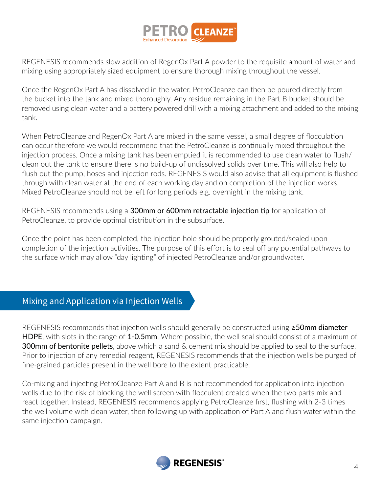

REGENESIS recommends slow addition of RegenOx Part A powder to the requisite amount of water and mixing using appropriately sized equipment to ensure thorough mixing throughout the vessel.

Once the RegenOx Part A has dissolved in the water, PetroCleanze can then be poured directly from the bucket into the tank and mixed thoroughly. Any residue remaining in the Part B bucket should be removed using clean water and a battery powered drill with a mixing attachment and added to the mixing tank.

When PetroCleanze and RegenOx Part A are mixed in the same vessel, a small degree of flocculation can occur therefore we would recommend that the PetroCleanze is continually mixed throughout the injection process. Once a mixing tank has been emptied it is recommended to use clean water to flush/ clean out the tank to ensure there is no build-up of undissolved solids over time. This will also help to flush out the pump, hoses and injection rods. REGENESIS would also advise that all equipment is flushed through with clean water at the end of each working day and on completion of the injection works. Mixed PetroCleanze should not be left for long periods e.g. overnight in the mixing tank.

REGENESIS recommends using a 300mm or 600mm retractable injection tip for application of PetroCleanze, to provide optimal distribution in the subsurface.

Once the point has been completed, the injection hole should be properly grouted/sealed upon completion of the injection activities. The purpose of this effort is to seal off any potential pathways to the surface which may allow "day lighting" of injected PetroCleanze and/or groundwater.

#### Mixing and Application via Injection Wells

REGENESIS recommends that injection wells should generally be constructed using **≥50mm diameter** HDPE, with slots in the range of 1-0.5mm. Where possible, the well seal should consist of a maximum of **300mm of bentonite pellets**, above which a sand & cement mix should be applied to seal to the surface. Prior to injection of any remedial reagent, REGENESIS recommends that the injection wells be purged of fine-grained particles present in the well bore to the extent practicable.

Co-mixing and injecting PetroCleanze Part A and B is not recommended for application into injection wells due to the risk of blocking the well screen with flocculent created when the two parts mix and react together. Instead, REGENESIS recommends applying PetroCleanze first, flushing with 2-3 times the well volume with clean water, then following up with application of Part A and flush water within the same injection campaign.

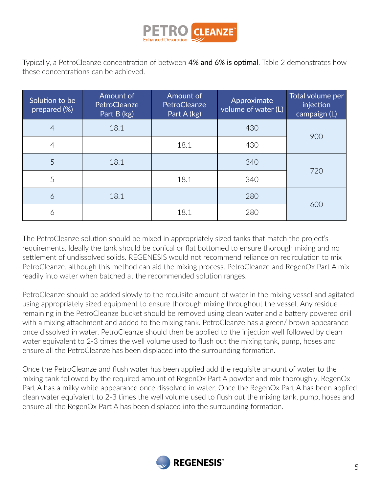

Typically, a PetroCleanze concentration of between 4% and 6% is optimal. Table 2 demonstrates how these concentrations can be achieved.

| Solution to be<br>prepared (%) | Amount of<br>PetroCleanze<br>Part B (kg) | Amount of<br>PetroCleanze<br>Part A (kg) | Approximate<br>volume of water (L) | Total volume per<br>injection<br>campaign (L) |
|--------------------------------|------------------------------------------|------------------------------------------|------------------------------------|-----------------------------------------------|
| $\overline{4}$                 | 18.1                                     |                                          | 430                                | 900                                           |
| 4                              |                                          | 18.1                                     | 430                                |                                               |
| 5                              | 18.1                                     |                                          | 340                                |                                               |
| 5                              |                                          | 18.1                                     | 340                                | 720                                           |
| 6                              | 18.1                                     |                                          | 280                                |                                               |
| 6                              |                                          | 18.1                                     | 280                                | 600                                           |

The PetroCleanze solution should be mixed in appropriately sized tanks that match the project's requirements. Ideally the tank should be conical or flat bottomed to ensure thorough mixing and no settlement of undissolved solids. REGENESIS would not recommend reliance on recirculation to mix PetroCleanze, although this method can aid the mixing process. PetroCleanze and RegenOx Part A mix readily into water when batched at the recommended solution ranges.

PetroCleanze should be added slowly to the requisite amount of water in the mixing vessel and agitated using appropriately sized equipment to ensure thorough mixing throughout the vessel. Any residue remaining in the PetroCleanze bucket should be removed using clean water and a battery powered drill with a mixing attachment and added to the mixing tank. PetroCleanze has a green/ brown appearance once dissolved in water. PetroCleanze should then be applied to the injection well followed by clean water equivalent to 2-3 times the well volume used to flush out the mixing tank, pump, hoses and ensure all the PetroCleanze has been displaced into the surrounding formation.

Once the PetroCleanze and flush water has been applied add the requisite amount of water to the mixing tank followed by the required amount of RegenOx Part A powder and mix thoroughly. RegenOx Part A has a milky white appearance once dissolved in water. Once the RegenOx Part A has been applied, clean water equivalent to 2-3 times the well volume used to flush out the mixing tank, pump, hoses and ensure all the RegenOx Part A has been displaced into the surrounding formation.